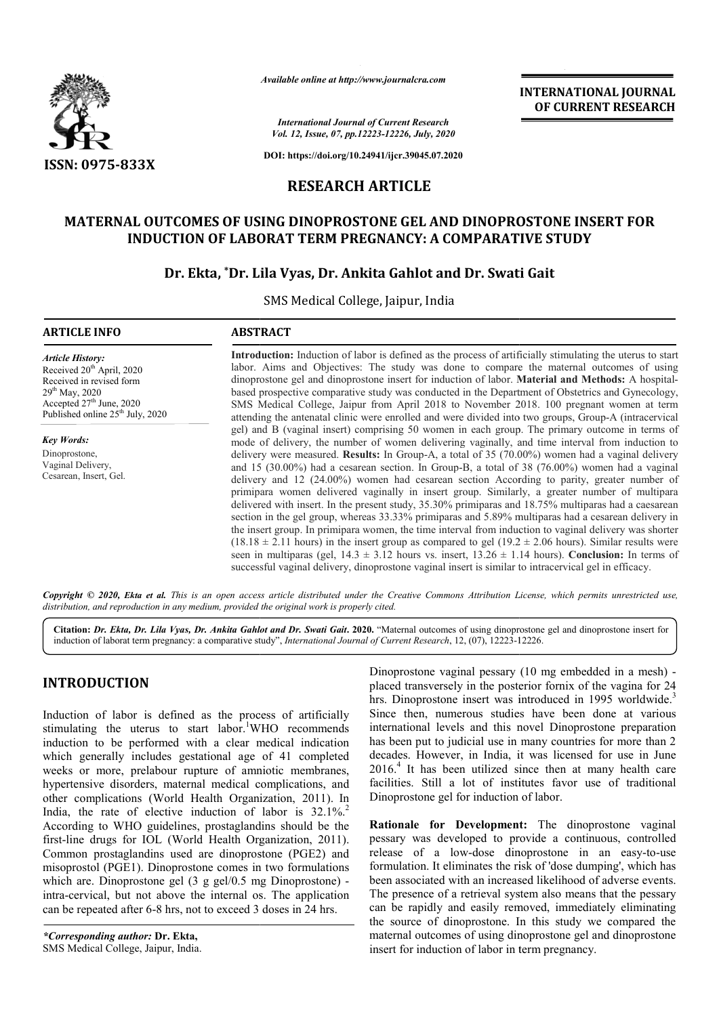

*Available online at http://www.journalcra.com*

# **RESEARCH ARTICLE**

# **MATERNAL OUTCOMES OF USING DINOPROSTONE GEL AND DINOPROSTONE INSERT FOR INDUCTION OF LABORAT TERM PREGNANCY: A COMPARATIVE STUDY AL OUTCOMES OF USING DINOPROSTONE GEL AND DINOPROSTONE INSERT<br>INDUCTION OF LABORAT TERM PREGNANCY: A COMPARATIVE STUDY<br>Dr. Ekta, \*Dr. Lila Vyas, Dr. Ankita Gahlot and Dr. Swati Gait**

# **Dr. Ekta, \*Dr. Lila Vyas Dr. Vyas, Dr. Ankita Gahlot and Dr. Swati Gait**

|                                                                                                                                                                                                        | <b>INTERNATIONAL JOURNAL</b><br>OF CURRENT RESEARCH                                                                                                                                                                                                                                                                                                                                                                                                                                                                         |                                                                                                                                                                                                                                                                                                                                                                                                                                                                                                                                                                                                                                                                                                                                                                                                                                                                                                                                                                                                                                                                                                                                                                                                                                                                          |  |  |  |  |  |
|--------------------------------------------------------------------------------------------------------------------------------------------------------------------------------------------------------|-----------------------------------------------------------------------------------------------------------------------------------------------------------------------------------------------------------------------------------------------------------------------------------------------------------------------------------------------------------------------------------------------------------------------------------------------------------------------------------------------------------------------------|--------------------------------------------------------------------------------------------------------------------------------------------------------------------------------------------------------------------------------------------------------------------------------------------------------------------------------------------------------------------------------------------------------------------------------------------------------------------------------------------------------------------------------------------------------------------------------------------------------------------------------------------------------------------------------------------------------------------------------------------------------------------------------------------------------------------------------------------------------------------------------------------------------------------------------------------------------------------------------------------------------------------------------------------------------------------------------------------------------------------------------------------------------------------------------------------------------------------------------------------------------------------------|--|--|--|--|--|
|                                                                                                                                                                                                        | <b>International Journal of Current Research</b><br>Vol. 12, Issue, 07, pp.12223-12226, July, 2020                                                                                                                                                                                                                                                                                                                                                                                                                          |                                                                                                                                                                                                                                                                                                                                                                                                                                                                                                                                                                                                                                                                                                                                                                                                                                                                                                                                                                                                                                                                                                                                                                                                                                                                          |  |  |  |  |  |
| ISSN: 0975-833X                                                                                                                                                                                        |                                                                                                                                                                                                                                                                                                                                                                                                                                                                                                                             | DOI: https://doi.org/10.24941/ijcr.39045.07.2020                                                                                                                                                                                                                                                                                                                                                                                                                                                                                                                                                                                                                                                                                                                                                                                                                                                                                                                                                                                                                                                                                                                                                                                                                         |  |  |  |  |  |
| <b>RESEARCH ARTICLE</b>                                                                                                                                                                                |                                                                                                                                                                                                                                                                                                                                                                                                                                                                                                                             |                                                                                                                                                                                                                                                                                                                                                                                                                                                                                                                                                                                                                                                                                                                                                                                                                                                                                                                                                                                                                                                                                                                                                                                                                                                                          |  |  |  |  |  |
|                                                                                                                                                                                                        |                                                                                                                                                                                                                                                                                                                                                                                                                                                                                                                             | MATERNAL OUTCOMES OF USING DINOPROSTONE GEL AND DINOPROSTONE INSERT FOR<br><b>INDUCTION OF LABORAT TERM PREGNANCY: A COMPARATIVE STUDY</b>                                                                                                                                                                                                                                                                                                                                                                                                                                                                                                                                                                                                                                                                                                                                                                                                                                                                                                                                                                                                                                                                                                                               |  |  |  |  |  |
|                                                                                                                                                                                                        | SMS Medical College, Jaipur, India                                                                                                                                                                                                                                                                                                                                                                                                                                                                                          | Dr. Ekta, *Dr. Lila Vyas, Dr. Ankita Gahlot and Dr. Swati Gait                                                                                                                                                                                                                                                                                                                                                                                                                                                                                                                                                                                                                                                                                                                                                                                                                                                                                                                                                                                                                                                                                                                                                                                                           |  |  |  |  |  |
| <b>ARTICLE INFO</b>                                                                                                                                                                                    | <b>ABSTRACT</b>                                                                                                                                                                                                                                                                                                                                                                                                                                                                                                             |                                                                                                                                                                                                                                                                                                                                                                                                                                                                                                                                                                                                                                                                                                                                                                                                                                                                                                                                                                                                                                                                                                                                                                                                                                                                          |  |  |  |  |  |
| <b>Article History:</b><br>Received 20 <sup>th</sup> April, 2020<br>Received in revised form<br>29 <sup>th</sup> May, 2020<br>Accepted 27th June, 2020<br>Published online 25 <sup>th</sup> July, 2020 |                                                                                                                                                                                                                                                                                                                                                                                                                                                                                                                             | Introduction: Induction of labor is defined as the process of artificially stimulating the uterus to start<br>labor. Aims and Objectives: The study was done to compare the maternal outcomes of using<br>dinoprostone gel and dinoprostone insert for induction of labor. Material and Methods: A hospital-<br>based prospective comparative study was conducted in the Department of Obstetrics and Gynecology,<br>SMS Medical College, Jaipur from April 2018 to November 2018. 100 pregnant women at term<br>attending the antenatal clinic were enrolled and were divided into two groups, Group-A (intracervical                                                                                                                                                                                                                                                                                                                                                                                                                                                                                                                                                                                                                                                   |  |  |  |  |  |
| <b>Key Words:</b><br>Dinoprostone,<br>Vaginal Delivery,<br>Cesarean, Insert, Gel.                                                                                                                      |                                                                                                                                                                                                                                                                                                                                                                                                                                                                                                                             | gel) and B (vaginal insert) comprising 50 women in each group. The primary outcome in terms of<br>mode of delivery, the number of women delivering vaginally, and time interval from induction to<br>delivery were measured. Results: In Group-A, a total of 35 (70.00%) women had a vaginal delivery<br>and 15 (30.00%) had a cesarean section. In Group-B, a total of 38 (76.00%) women had a vaginal<br>delivery and 12 (24.00%) women had cesarean section According to parity, greater number of<br>primipara women delivered vaginally in insert group. Similarly, a greater number of multipara<br>delivered with insert. In the present study, 35.30% primiparas and 18.75% multiparas had a caesarean<br>section in the gel group, whereas 33.33% primiparas and 5.89% multiparas had a cesarean delivery in<br>the insert group. In primipara women, the time interval from induction to vaginal delivery was shorter<br>$(18.18 \pm 2.11$ hours) in the insert group as compared to gel $(19.2 \pm 2.06$ hours). Similar results were<br>seen in multiparas (gel, $14.3 \pm 3.12$ hours vs. insert, $13.26 \pm 1.14$ hours). Conclusion: In terms of<br>successful vaginal delivery, dinoprostone vaginal insert is similar to intracervical gel in efficacy. |  |  |  |  |  |
|                                                                                                                                                                                                        | distribution, and reproduction in any medium, provided the original work is properly cited.                                                                                                                                                                                                                                                                                                                                                                                                                                 | Copyright © 2020, Ekta et al. This is an open access article distributed under the Creative Commons Attribution License, which permits unrestricted use,                                                                                                                                                                                                                                                                                                                                                                                                                                                                                                                                                                                                                                                                                                                                                                                                                                                                                                                                                                                                                                                                                                                 |  |  |  |  |  |
|                                                                                                                                                                                                        |                                                                                                                                                                                                                                                                                                                                                                                                                                                                                                                             | Citation: Dr. Ekta, Dr. Lila Vyas, Dr. Ankita Gahlot and Dr. Swati Gait. 2020. "Maternal outcomes of using dinoprostone gel and dinoprostone insert for<br>induction of laborat term pregnancy: a comparative study", International Journal of Current Research, 12, (07), 12223-12226.                                                                                                                                                                                                                                                                                                                                                                                                                                                                                                                                                                                                                                                                                                                                                                                                                                                                                                                                                                                  |  |  |  |  |  |
| <b>INTRODUCTION</b>                                                                                                                                                                                    |                                                                                                                                                                                                                                                                                                                                                                                                                                                                                                                             | Dinoprostone vaginal pessary (10 mg embedded in a mesh) -<br>placed transversely in the posterior fornix of the vagina for 24<br>hrs. Dinoprostone insert was introduced in 1995 worldwide. <sup>3</sup>                                                                                                                                                                                                                                                                                                                                                                                                                                                                                                                                                                                                                                                                                                                                                                                                                                                                                                                                                                                                                                                                 |  |  |  |  |  |
|                                                                                                                                                                                                        | Induction of labor is defined as the process of artificially<br>stimulating the uterus to start labor. <sup>1</sup> WHO recommends<br>induction to be performed with a clear medical indication<br>which generally includes gestational age of 41 completed<br>weeks or more, prelabour rupture of amniotic membranes,<br>hypertensive disorders, maternal medical complications, and<br>other complications (World Health Organization, 2011). In<br>India, the rate of elective induction of labor is 32.1%. <sup>2</sup> | Since then, numerous studies have been done at various<br>international levels and this novel Dinoprostone preparation<br>has been put to judicial use in many countries for more than 2<br>decades. However, in India, it was licensed for use in June<br>$20164$ It has been utilized since then at many health care<br>facilities. Still a lot of institutes favor use of traditional<br>Dinoprostone gel for induction of labor.                                                                                                                                                                                                                                                                                                                                                                                                                                                                                                                                                                                                                                                                                                                                                                                                                                     |  |  |  |  |  |
| can be repeated after 6-8 hrs, not to exceed 3 doses in 24 hrs.                                                                                                                                        | According to WHO guidelines, prostaglandins should be the<br>first-line drugs for IOL (World Health Organization, 2011).<br>Common prostaglandins used are dinoprostone (PGE2) and<br>misoprostol (PGE1). Dinoprostone comes in two formulations<br>which are. Dinoprostone gel (3 g gel/0.5 mg Dinoprostone) -<br>intra-cervical, but not above the internal os. The application                                                                                                                                           | Rationale for Development: The dinoprostone vaginal<br>pessary was developed to provide a continuous, controlled<br>release of a low-dose dinoprostone in an easy-to-use<br>formulation. It eliminates the risk of 'dose dumping', which has<br>been associated with an increased likelihood of adverse events.<br>The presence of a retrieval system also means that the pessary<br>can be rapidly and easily removed, immediately eliminating<br>the source of dinoprostone. In this study we compared the                                                                                                                                                                                                                                                                                                                                                                                                                                                                                                                                                                                                                                                                                                                                                             |  |  |  |  |  |
| *Corresponding author: Dr. Ekta,                                                                                                                                                                       |                                                                                                                                                                                                                                                                                                                                                                                                                                                                                                                             | maternal outcomes of using dinoprostone gel and dinoprostone                                                                                                                                                                                                                                                                                                                                                                                                                                                                                                                                                                                                                                                                                                                                                                                                                                                                                                                                                                                                                                                                                                                                                                                                             |  |  |  |  |  |

# **INTRODUCTION**

**Rationale for Development Development:** The dinoprostone vaginal pessary was developed to provide a continuous, controlled pessary was developed to provide a continuous, controlled release of a low-dose dinoprostone in an easy-to-use formulation. It eliminates the risk of 'dose dumping', which has been associated with an increased likelihood of adverse events. The presence of a retrieval system also means that the pessary can be rapidly and easily removed, immediately eliminating the source of dinoprostone. In this study we compared the maternal outcomes of using dinoprostone gel and dinoprostone insert for induction of labor in term pregnancy.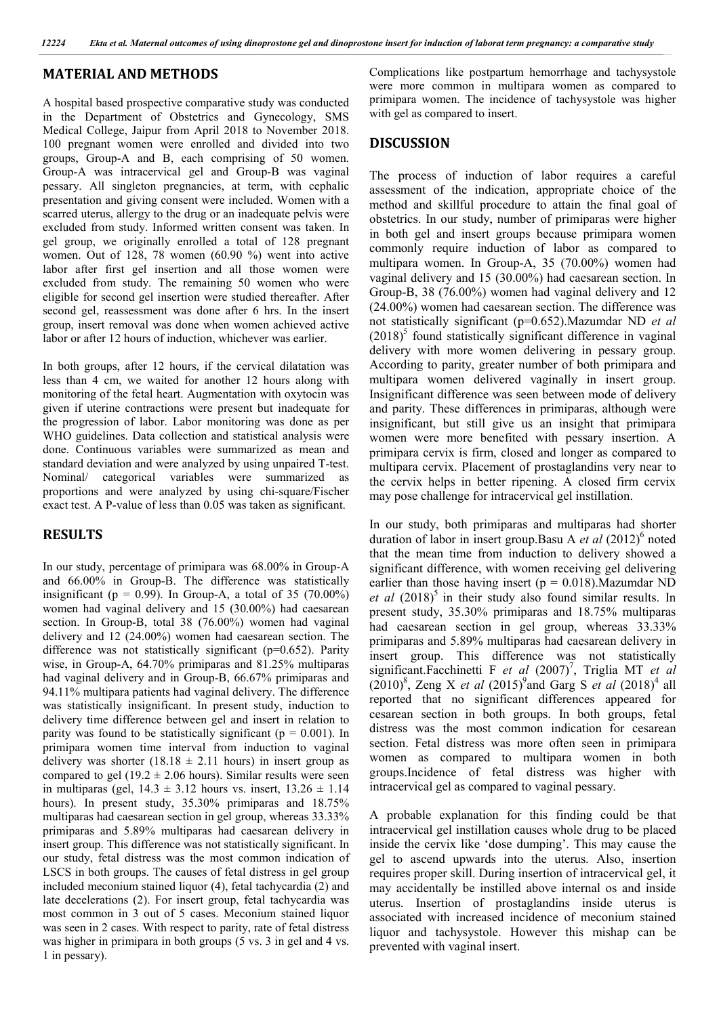### **MATERIAL AND METHODS**

A hospital based prospective comparative study was conducted in the Department of Obstetrics and Gynecology, SMS Medical College, Jaipur from April 2018 to November 2018. 100 pregnant women were enrolled and divided into two groups, Group-A and B, each comprising of 50 women. Group-A was intracervical gel and Group-B was vaginal pessary. All singleton pregnancies, at term, with cephalic presentation and giving consent were included. Women with a scarred uterus, allergy to the drug or an inadequate pelvis were excluded from study. Informed written consent was taken. In gel group, we originally enrolled a total of 128 pregnant women. Out of 128, 78 women (60.90 %) went into active labor after first gel insertion and all those women were excluded from study. The remaining 50 women who were eligible for second gel insertion were studied thereafter. After second gel, reassessment was done after 6 hrs. In the insert group, insert removal was done when women achieved active labor or after 12 hours of induction, whichever was earlier.

In both groups, after 12 hours, if the cervical dilatation was less than 4 cm, we waited for another 12 hours along with monitoring of the fetal heart. Augmentation with oxytocin was given if uterine contractions were present but inadequate for the progression of labor. Labor monitoring was done as per WHO guidelines. Data collection and statistical analysis were done. Continuous variables were summarized as mean and standard deviation and were analyzed by using unpaired T-test. Nominal/ categorical variables were summarized as proportions and were analyzed by using chi-square/Fischer exact test. A P-value of less than 0.05 was taken as significant.

## **RESULTS**

In our study, percentage of primipara was 68.00% in Group-A and 66.00% in Group-B. The difference was statistically insignificant ( $p = 0.99$ ). In Group-A, a total of 35 (70.00%) women had vaginal delivery and 15 (30.00%) had caesarean section. In Group-B, total 38 (76.00%) women had vaginal delivery and 12 (24.00%) women had caesarean section. The difference was not statistically significant (p=0.652). Parity wise, in Group-A, 64.70% primiparas and 81.25% multiparas had vaginal delivery and in Group-B, 66.67% primiparas and 94.11% multipara patients had vaginal delivery. The difference was statistically insignificant. In present study, induction to delivery time difference between gel and insert in relation to parity was found to be statistically significant ( $p = 0.001$ ). In primipara women time interval from induction to vaginal delivery was shorter  $(18.18 \pm 2.11$  hours) in insert group as compared to gel (19.2  $\pm$  2.06 hours). Similar results were seen in multiparas (gel,  $14.3 \pm 3.12$  hours vs. insert,  $13.26 \pm 1.14$ hours). In present study, 35.30% primiparas and 18.75% multiparas had caesarean section in gel group, whereas 33.33% primiparas and 5.89% multiparas had caesarean delivery in insert group. This difference was not statistically significant. In our study, fetal distress was the most common indication of LSCS in both groups. The causes of fetal distress in gel group included meconium stained liquor (4), fetal tachycardia (2) and late decelerations (2). For insert group, fetal tachycardia was most common in 3 out of 5 cases. Meconium stained liquor was seen in 2 cases. With respect to parity, rate of fetal distress was higher in primipara in both groups (5 vs. 3 in gel and 4 vs. 1 in pessary).

Complications like postpartum hemorrhage and tachysystole were more common in multipara women as compared to primipara women. The incidence of tachysystole was higher with gel as compared to insert.

# **DISCUSSION**

The process of induction of labor requires a careful assessment of the indication, appropriate choice of the method and skillful procedure to attain the final goal of obstetrics. In our study, number of primiparas were higher in both gel and insert groups because primipara women commonly require induction of labor as compared to multipara women. In Group-A, 35 (70.00%) women had vaginal delivery and 15 (30.00%) had caesarean section. In Group-B, 38 (76.00%) women had vaginal delivery and 12 (24.00%) women had caesarean section. The difference was not statistically significant (p=0.652).Mazumdar ND *et al*  $(2018)^5$  found statistically significant difference in vaginal delivery with more women delivering in pessary group. According to parity, greater number of both primipara and multipara women delivered vaginally in insert group. Insignificant difference was seen between mode of delivery and parity. These differences in primiparas, although were insignificant, but still give us an insight that primipara women were more benefited with pessary insertion. A primipara cervix is firm, closed and longer as compared to multipara cervix. Placement of prostaglandins very near to the cervix helps in better ripening. A closed firm cervix may pose challenge for intracervical gel instillation.

In our study, both primiparas and multiparas had shorter duration of labor in insert group.Basu A *et al* (2012)<sup>6</sup> noted that the mean time from induction to delivery showed a significant difference, with women receiving gel delivering earlier than those having insert ( $p = 0.018$ ). Mazumdar ND *et al* (2018)<sup>5</sup> in their study also found similar results. In present study, 35.30% primiparas and 18.75% multiparas had caesarean section in gel group, whereas 33.33% primiparas and 5.89% multiparas had caesarean delivery in insert group. This difference was not statistically significant.Facchinetti F et al (2007)<sup>7</sup>, Triglia MT et al (2010)<sup>8</sup>, Zeng X *et al* (2015)<sup>9</sup> and Garg S *et al* (2018)<sup>4</sup> all reported that no significant differences appeared for cesarean section in both groups. In both groups, fetal distress was the most common indication for cesarean section. Fetal distress was more often seen in primipara women as compared to multipara women in both groups.Incidence of fetal distress was higher with intracervical gel as compared to vaginal pessary.

A probable explanation for this finding could be that intracervical gel instillation causes whole drug to be placed inside the cervix like 'dose dumping'. This may cause the gel to ascend upwards into the uterus. Also, insertion requires proper skill. During insertion of intracervical gel, it may accidentally be instilled above internal os and inside uterus. Insertion of prostaglandins inside uterus is associated with increased incidence of meconium stained liquor and tachysystole. However this mishap can be prevented with vaginal insert.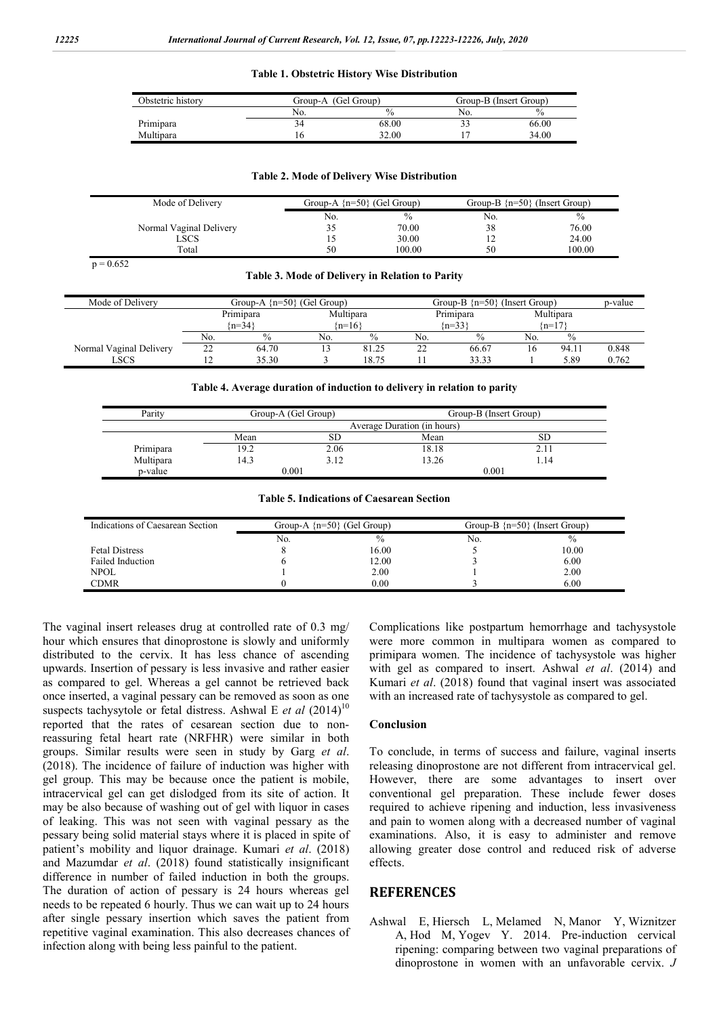#### **Table 1. Obstetric History Wise Distribution**

| Obstetric history | Group-A (Gel Group) |               | Group-B (Insert Group) |               |  |
|-------------------|---------------------|---------------|------------------------|---------------|--|
|                   | No.                 | $\frac{0}{0}$ | No.                    | $\frac{0}{0}$ |  |
| Primipara         | 34                  | 68.00         |                        | 66.00         |  |
| Multipara         |                     | 32.00         |                        | 34.00         |  |

#### **Table 2. Mode of Delivery Wise Distribution**

| Mode of Delivery        |     | Group-A $\{n=50\}$ (Gel Group) |                | Group-B $\{n=50\}$ (Insert Group) |
|-------------------------|-----|--------------------------------|----------------|-----------------------------------|
|                         | No. | $\frac{0}{0}$                  | No.            | $\%$                              |
| Normal Vaginal Delivery | 35  | 70.00                          | 38             | 76.00                             |
| LSCS                    |     | 30.00                          | $\overline{1}$ | 24.00                             |
| Total                   | 50  | 100.00                         | 50             | 100.00                            |

 $p = 0.652$ 

#### **Table 3. Mode of Delivery in Relation to Parity**

| Mode of Delivery        | Group-A $\{n=50\}$ (Gel Group) |               |            | Group-B $\{n=50\}$ (Insert Group) |           |       | p-value   |               |       |
|-------------------------|--------------------------------|---------------|------------|-----------------------------------|-----------|-------|-----------|---------------|-------|
|                         | Primipara                      |               | Multipara  |                                   | Primipara |       | Multipara |               |       |
|                         | ${n=34}$                       |               | $\{n=16\}$ |                                   | ${n=33}$  |       | $(n=17)$  |               |       |
|                         | No.                            | $\frac{0}{0}$ | No.        | $\%$                              | No.       | $\%$  | No.       | $\frac{0}{0}$ |       |
| Normal Vaginal Delivery | 22                             | 64.70         |            | 81.25                             |           | 66.67 | 16        | 94.11         | 0.848 |
| LSCS                    | ∸                              | 35.30         |            | 18.75                             |           | 33.33 |           | 5.89          | 0.762 |

#### **Table 4. Average duration of induction to delivery in relation to parity**

| Parity    | Group-A (Gel Group)         |      | Group-B (Insert Group) |      |  |
|-----------|-----------------------------|------|------------------------|------|--|
|           | Average Duration (in hours) |      |                        |      |  |
|           | Mean                        | SЕ   | Mean                   | SD   |  |
| Primipara | 19.2                        | 2.06 | 18.18                  |      |  |
| Multipara | 14.3                        | 3.12 | 13.26                  | 1.14 |  |
| p-value   | 0.001                       |      | 0.001                  |      |  |

#### **Table 5. Indications of Caesarean Section**

| Indications of Caesarean Section | Group-A $\{n=50\}$ (Gel Group) |               | Group-B $\{n=50\}$ (Insert Group) |               |  |
|----------------------------------|--------------------------------|---------------|-----------------------------------|---------------|--|
|                                  | No.                            | $\frac{0}{0}$ | No.                               | $\frac{0}{0}$ |  |
| <b>Fetal Distress</b>            |                                | 16.00         |                                   | 10.00         |  |
| Failed Induction                 |                                | 12.00         |                                   | 6.00          |  |
| <b>NPOL</b>                      |                                | 2.00          |                                   | 2.00          |  |
| <b>CDMR</b>                      |                                | 0.00          |                                   | 6.00          |  |

The vaginal insert releases drug at controlled rate of 0.3 mg/ hour which ensures that dinoprostone is slowly and uniformly distributed to the cervix. It has less chance of ascending upwards. Insertion of pessary is less invasive and rather easier as compared to gel. Whereas a gel cannot be retrieved back once inserted, a vaginal pessary can be removed as soon as one suspects tachysytole or fetal distress. Ashwal E et al (2014)<sup>10</sup> reported that the rates of cesarean section due to nonreassuring fetal heart rate (NRFHR) were similar in both groups. Similar results were seen in study by Garg *et al*. (2018). The incidence of failure of induction was higher with gel group. This may be because once the patient is mobile, intracervical gel can get dislodged from its site of action. It may be also because of washing out of gel with liquor in cases of leaking. This was not seen with vaginal pessary as the pessary being solid material stays where it is placed in spite of patient's mobility and liquor drainage. Kumari *et al*. (2018) and Mazumdar *et al*. (2018) found statistically insignificant difference in number of failed induction in both the groups. The duration of action of pessary is 24 hours whereas gel needs to be repeated 6 hourly. Thus we can wait up to 24 hours after single pessary insertion which saves the patient from repetitive vaginal examination. This also decreases chances of infection along with being less painful to the patient.

Complications like postpartum hemorrhage and tachysystole were more common in multipara women as compared to primipara women. The incidence of tachysystole was higher with gel as compared to insert. Ashwal *et al*. (2014) and Kumari *et al*. (2018) found that vaginal insert was associated with an increased rate of tachysystole as compared to gel.

#### **Conclusion**

To conclude, in terms of success and failure, vaginal inserts releasing dinoprostone are not different from intracervical gel. However, there are some advantages to insert over conventional gel preparation. These include fewer doses required to achieve ripening and induction, less invasiveness and pain to women along with a decreased number of vaginal examinations. Also, it is easy to administer and remove allowing greater dose control and reduced risk of adverse effects.

#### **REFERENCES**

Ashwal E, Hiersch L, Melamed N, Manor Y, Wiznitzer A, Hod M, Yogev Y. 2014. Pre-induction cervical ripening: comparing between two vaginal preparations of dinoprostone in women with an unfavorable cervix. *J*